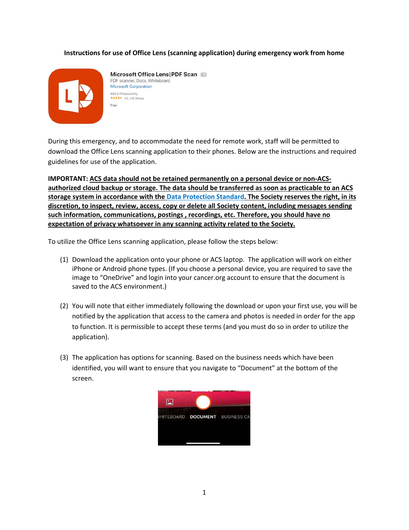## **Instructions for use of Office Lens (scanning application) during emergency work from home**



Microsoft Office Lens | PDF Scan PDF scanner, Docs, Whiteboard **Microsoft Corporation** #49 in Productivity \*\*\*\*\* 4.5, 2.9K Ratings Free

During this emergency, and to accommodate the need for remote work, staff will be permitted to download the Office Lens scanning application to their phones. Below are the instructions and required guidelines for use of the application.

**IMPORTANT: ACS data should not be retained permanently on a personal device or non‐ACS‐ authorized cloud backup or storage. The data should be transferred as soon as practicable to an ACS storage system in accordance with the Data Protection Standard. The Society reserves the right, in its discretion, to inspect, review, access, copy or delete all Society content, including messages sending such information, communications, postings , recordings, etc. Therefore, you should have no expectation of privacy whatsoever in any scanning activity related to the Society.**

To utilize the Office Lens scanning application, please follow the steps below:

- (1) Download the application onto your phone or ACS laptop. The application will work on either iPhone or Android phone types. (If you choose a personal device, you are required to save the image to "OneDrive" and login into your cancer.org account to ensure that the document is saved to the ACS environment.)
- (2) You will note that either immediately following the download or upon your first use, you will be notified by the application that access to the camera and photos is needed in order for the app to function. It is permissible to accept these terms (and you must do so in order to utilize the application).
- (3) The application has options for scanning. Based on the business needs which have been identified, you will want to ensure that you navigate to "Document" at the bottom of the screen.

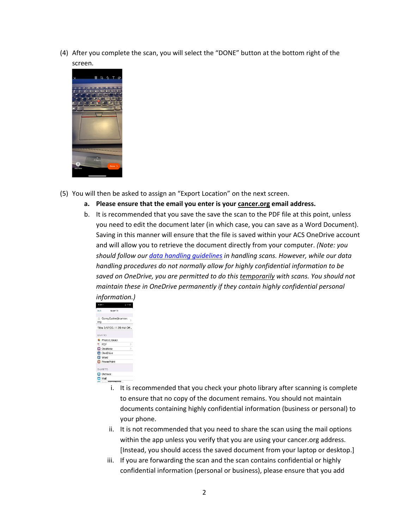(4) After you complete the scan, you will select the "DONE" button at the bottom right of the screen.



- (5) You will then be asked to assign an "Export Location" on the next screen.
	- **a. Please ensure that the email you enter is your cancer.org email address.**
	- b. It is recommended that you save the save the scan to the PDF file at this point, unless you need to edit the document later (in which case, you can save as a Word Document). Saving in this manner will ensure that the file is saved within your ACS OneDrive account and will allow you to retrieve the document directly from your computer. *(Note: you should follow our data handling guidelines in handling scans. However, while our data handling procedures do not normally allow for highly confidential information to be saved on OneDrive, you are permitted to do this temporarily with scans. You should not maintain these in OneDrive permanently if they contain highly confidential personal information.)*

| 11 M G                                        |  |
|-----------------------------------------------|--|
| Rack<br>Export To                             |  |
|                                               |  |
| Corey.Cutter@cancer.<br>org                   |  |
|                                               |  |
| Title 3/17/20, 11:39 AM Off                   |  |
|                                               |  |
| SAVE TO                                       |  |
| Photo Library                                 |  |
| PDF                                           |  |
| <b>Ed</b> OneNote                             |  |
| OneDrive                                      |  |
| Eil Word                                      |  |
| <b>Ed</b> PowerPoint                          |  |
|                                               |  |
| SHARE TO                                      |  |
| <b>El</b> Outlook                             |  |
| <b>⊡</b> Mail                                 |  |
| <del>.</del><br>$\mathbf{m}$ and $\mathbf{m}$ |  |

- i. It is recommended that you check your photo library after scanning is complete to ensure that no copy of the document remains. You should not maintain documents containing highly confidential information (business or personal) to your phone.
- ii. It is not recommended that you need to share the scan using the mail options within the app unless you verify that you are using your cancer.org address. [Instead, you should access the saved document from your laptop or desktop.]
- iii. If you are forwarding the scan and the scan contains confidential or highly confidential information (personal or business), please ensure that you add